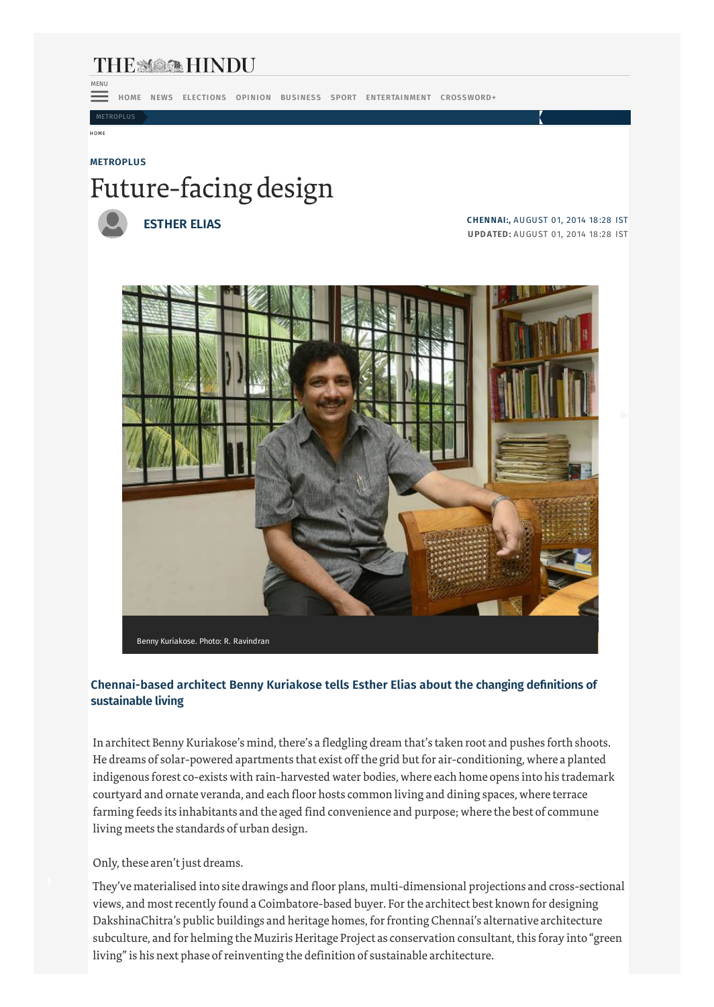## THE MAN HINDU MENU

HOME NEWS ELECTIONS OPINION BUSINESS SPORT ENTERTAINMENT CROSSWORD+

METROPLUS

#### HOME

# **METROPLUS** Future-facing design



**ESTHER ELIAS**

**CHENNAI:,** AUGUST 01, 2014 18 :28 IST **UPDATED:** AUGUST 01, 2014 18 :28 IST



### **Chennai-based architect Benny Kuriakose tells Esther Elias about the changing definitions of sustainable living**

In architect Benny Kuriakose's mind, there's a fledgling dream that's taken root and pushes forth shoots. He dreams of solar-powered apartments that exist off the grid but for air-conditioning, where a planted indigenous forest co-exists with rain-harvested water bodies, where each home opens into his trademark courtyard and ornate veranda, and each floor hosts common living and dining spaces, where terrace farming feeds its inhabitants and the aged find convenience and purpose; where the best of commune living meets the standards of urban design.

### Only, these aren't just dreams.

They've materialised into site drawings and floor plans, multi-dimensional projections and cross-sectional views, and most recently found a Coimbatore-based buyer. For the architect best known for designing DakshinaChitra's public buildings and heritage homes, for fronting Chennai's alternative architecture subculture, and for helming the Muziris Heritage Project as conservation consultant, this foray into "green living" is his next phase of reinventing the definition of sustainable architecture.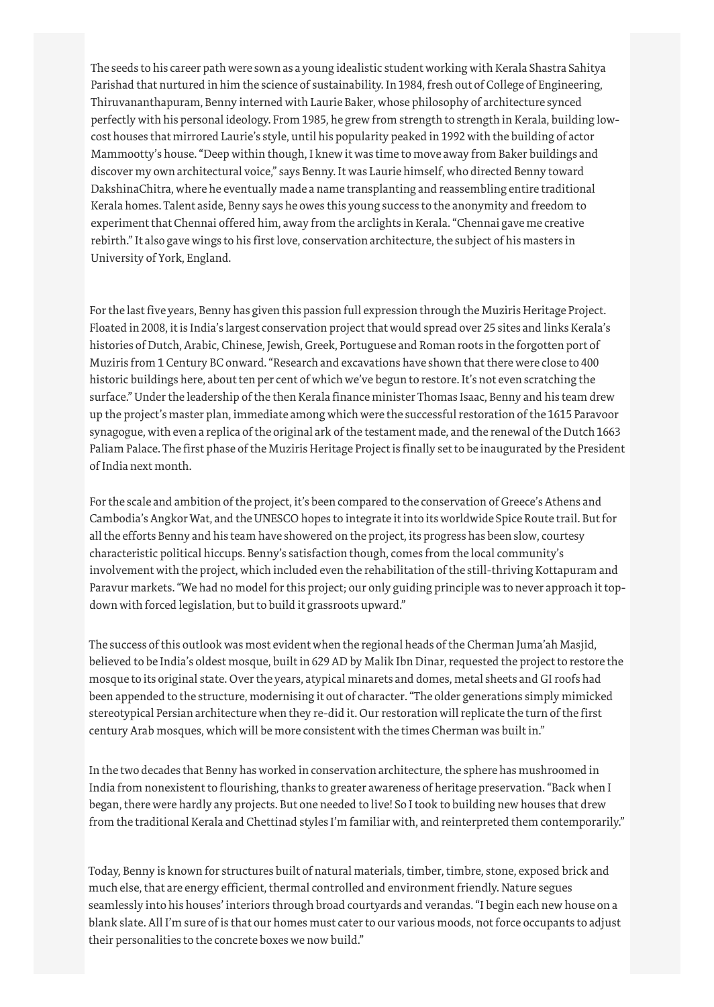The seeds to his career path were sown as a young idealistic student working with Kerala Shastra Sahitya Parishad that nurtured in him the science of sustainability. In 1984, fresh out of College of Engineering, Thiruvananthapuram, Benny interned with Laurie Baker, whose philosophy of architecture synced perfectly with his personal ideology. From 1985, he grew from strength to strength in Kerala, building lowcost houses that mirrored Laurie's style, until his popularity peaked in 1992 with the building of actor Mammootty's house. "Deep within though, I knew it was time to move away from Baker buildings and discover my own architectural voice," says Benny. It was Laurie himself, who directed Benny toward DakshinaChitra, where he eventually made a name transplanting and reassembling entire traditional Kerala homes. Talent aside, Benny says he owes this young success to the anonymity and freedom to experiment that Chennai offered him, away from the arclights in Kerala. "Chennai gave me creative rebirth." It also gave wings to his first love, conservation architecture, the subject of his masters in University of York, England.

For the last five years, Benny has given this passion full expression through the Muziris Heritage Project. Floated in 2008, it is India's largest conservation project that would spread over 25 sites and links Kerala's histories of Dutch, Arabic, Chinese, Jewish, Greek, Portuguese and Roman roots in the forgotten port of Muziris from 1 Century BC onward. "Research and excavations have shown that there were close to 400 historic buildings here, about ten per cent of which we've begun to restore. It's not even scratching the surface." Under the leadership of the then Kerala finance minister Thomas Isaac, Benny and his team drew up the project's master plan, immediate among which were the successful restoration of the 1615 Paravoor synagogue, with even a replica of the original ark of the testament made, and the renewal of the Dutch 1663 Paliam Palace. The first phase of the Muziris Heritage Project is finally set to be inaugurated by the President of India next month.

For the scale and ambition of the project, it's been compared to the conservation of Greece's Athens and Cambodia's Angkor Wat, and the UNESCO hopes to integrate it into its worldwide Spice Route trail. But for all the efforts Benny and his team have showered on the project, its progress has been slow, courtesy characteristic political hiccups. Benny's satisfaction though, comes from the local community's involvement with the project, which included even the rehabilitation of the still-thriving Kottapuram and Paravur markets. "We had no model for this project; our only guiding principle was to never approach it topdown with forced legislation, but to build it grassroots upward."

The success of this outlook was most evident when the regional heads of the Cherman Juma'ah Masjid, believed to be India's oldest mosque, built in 629 AD by Malik Ibn Dinar, requested the project to restore the mosque to its original state. Over the years, atypical minarets and domes, metal sheets and GI roofs had been appended to the structure, modernising it out of character. "The older generations simply mimicked stereotypical Persian architecture when they re-did it. Our restoration will replicate the turn of the first century Arab mosques, which will be more consistent with the times Cherman was built in."

In the two decades that Benny has worked in conservation architecture, the sphere has mushroomed in India from nonexistent to flourishing, thanks to greater awareness of heritage preservation. "Back when I began, there were hardly any projects. But one needed to live! So I took to building new houses that drew from the traditional Kerala and Chettinad styles I'm familiar with, and reinterpreted them contemporarily."

Today, Benny is known for structures built of natural materials, timber, timbre, stone, exposed brick and much else, that are energy efficient, thermal controlled and environment friendly. Nature segues seamlessly into his houses' interiors through broad courtyards and verandas. "I begin each new house on a blank slate. All I'm sure of is that our homes must cater to our various moods, not force occupants to adjust their personalities to the concrete boxes we now build."